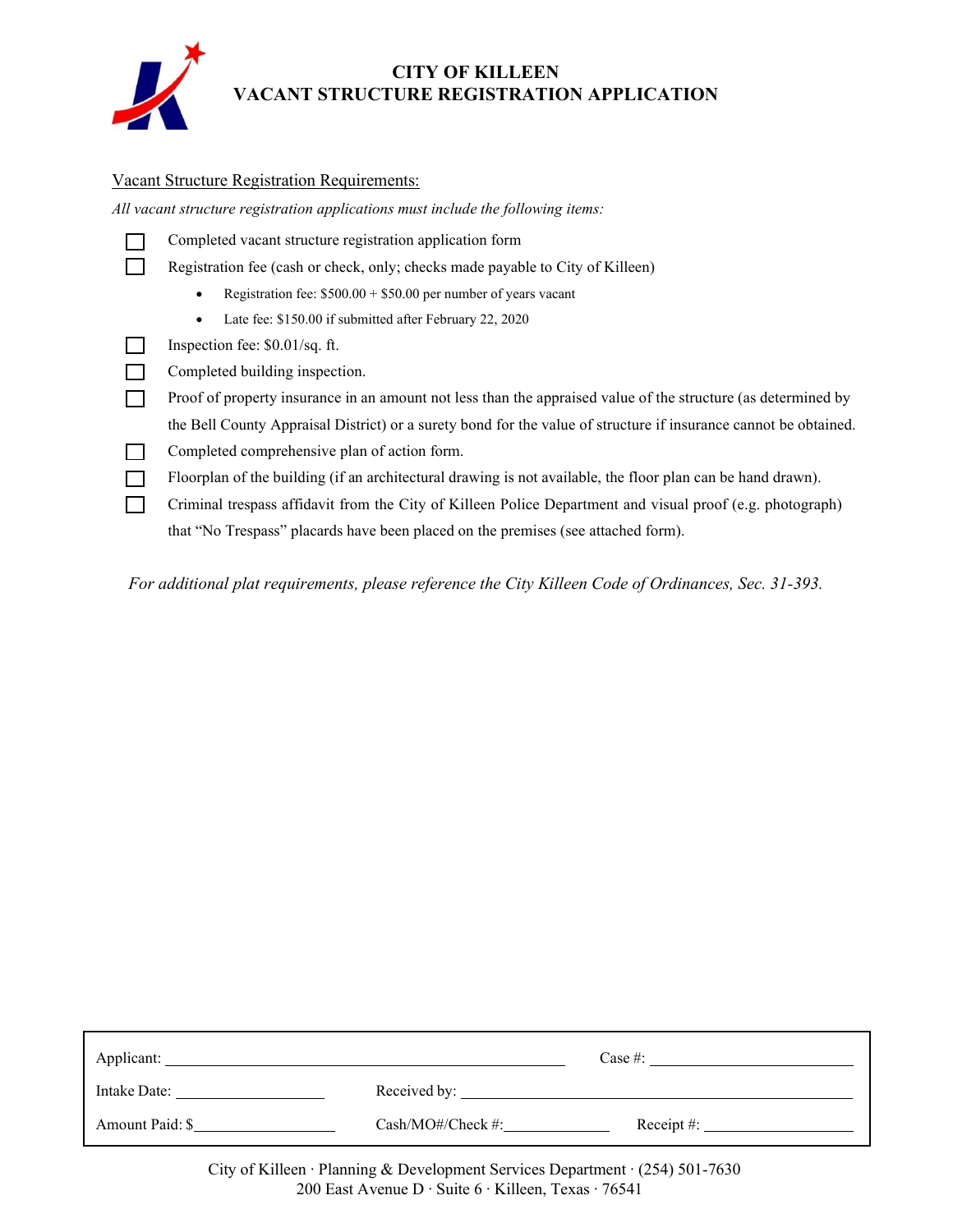

## **CITY OF KILLEEN VACANT STRUCTURE REGISTRATION APPLICATION**

#### Vacant Structure Registration Requirements:

*All vacant structure registration applications must include the following items:*

Completed vacant structure registration application form

Registration fee (cash or check, only; checks made payable to City of Killeen)

- Registration fee:  $$500.00 + $50.00$  per number of years vacant
- Late fee: \$150.00 if submitted after February 22, 2020
- Inspection fee: \$0.01/sq. ft.
- Completed building inspection.
- Proof of property insurance in an amount not less than the appraised value of the structure (as determined by the Bell County Appraisal District) or a surety bond for the value of structure if insurance cannot be obtained.
- Completed comprehensive plan of action form.
- Floorplan of the building (if an architectural drawing is not available, the floor plan can be hand drawn).
- Criminal trespass affidavit from the City of Killeen Police Department and visual proof (e.g. photograph) that "No Trespass" placards have been placed on the premises (see attached form).

*For additional plat requirements, please reference the City Killeen Code of Ordinances, Sec. 31-393.* 

| Applicant:      |                      | Case #:                             |
|-----------------|----------------------|-------------------------------------|
| Intake Date:    | Received by:         |                                     |
| Amount Paid: \$ | $Cash/MO\#/Check\#;$ | Receipt #: $\overline{\phantom{a}}$ |

City of Killeen ∙ Planning & Development Services Department ∙ (254) 501-7630 200 East Avenue D ∙ Suite 6 ∙ Killeen, Texas ∙ 76541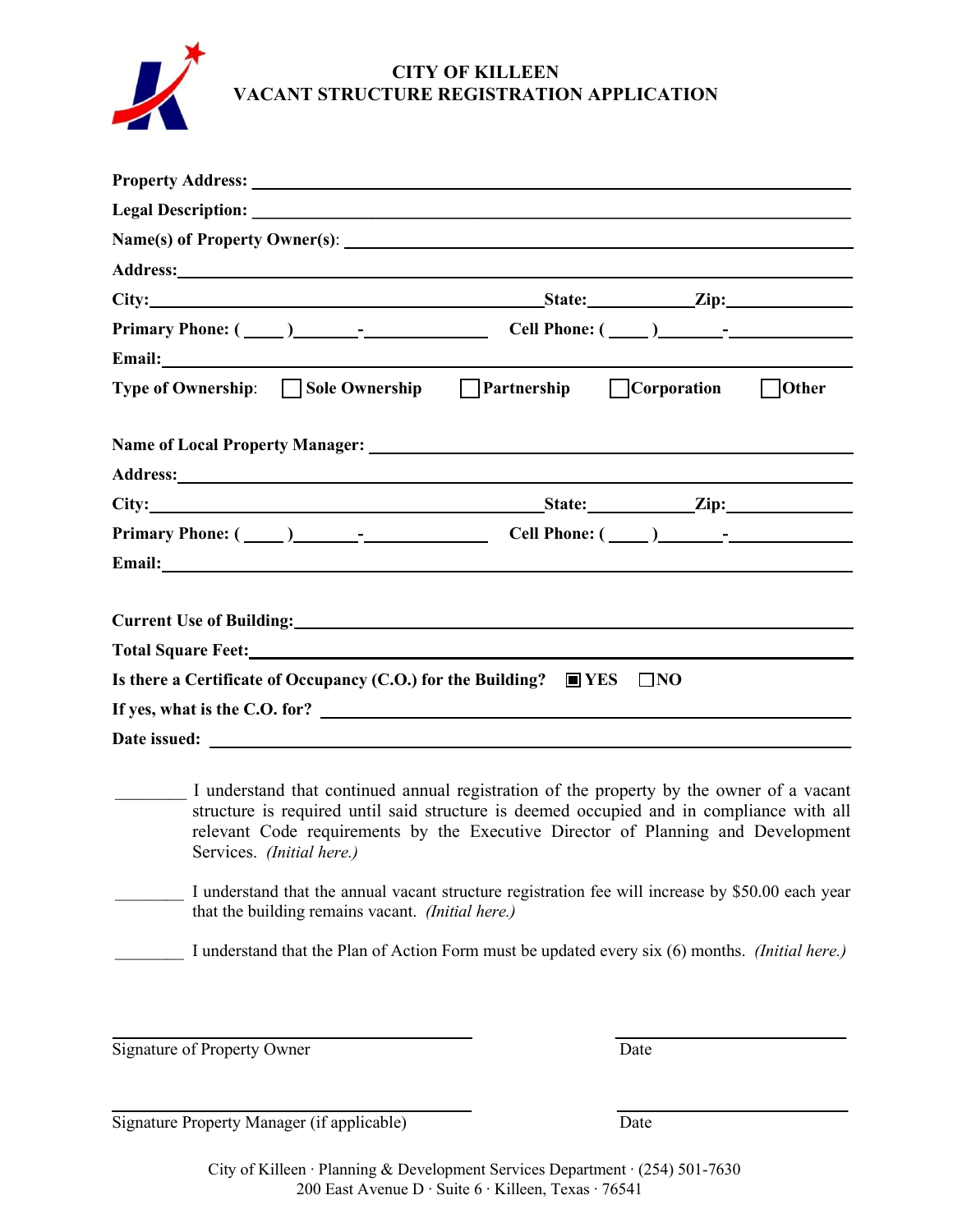

# **CITY OF KILLEEN VACANT STRUCTURE REGISTRATION APPLICATION**

| City: <u>City: Zip:</u>                                                                                                                                                                                                                                                                                                                                                                                    |
|------------------------------------------------------------------------------------------------------------------------------------------------------------------------------------------------------------------------------------------------------------------------------------------------------------------------------------------------------------------------------------------------------------|
|                                                                                                                                                                                                                                                                                                                                                                                                            |
|                                                                                                                                                                                                                                                                                                                                                                                                            |
| Type of Ownership: Sole Ownership Partnership Corporation Dother                                                                                                                                                                                                                                                                                                                                           |
|                                                                                                                                                                                                                                                                                                                                                                                                            |
|                                                                                                                                                                                                                                                                                                                                                                                                            |
| City: <u>City:</u> City: <u>City:</u> City: City: City: City: City: City: City: City: City: City: City: City: City: City: City: City: City: City: City: City: City: City: City: City: City: City: City: City: City: City: City: City: Ci                                                                                                                                                                   |
|                                                                                                                                                                                                                                                                                                                                                                                                            |
|                                                                                                                                                                                                                                                                                                                                                                                                            |
|                                                                                                                                                                                                                                                                                                                                                                                                            |
|                                                                                                                                                                                                                                                                                                                                                                                                            |
| Total Square Feet: Note that the state of the state of the state of the state of the state of the state of the state of the state of the state of the state of the state of the state of the state of the state of the state o                                                                                                                                                                             |
| Is there a Certificate of Occupancy (C.O.) for the Building? $\Box$ YES $\Box$ NO                                                                                                                                                                                                                                                                                                                          |
| If yes, what is the C.O. for?                                                                                                                                                                                                                                                                                                                                                                              |
| Date issued: The same state of the state of the state of the state of the state of the state of the state of the state of the state of the state of the state of the state of the state of the state of the state of the state                                                                                                                                                                             |
| I understand that continued annual registration of the property by the owner of a vacant<br>structure is required until said structure is deemed occupied and in compliance with all<br>relevant Code requirements by the Executive Director of Planning and Development<br>Services. (Initial here.)<br>I understand that the annual vacant structure registration fee will increase by \$50.00 each year |
| that the building remains vacant. <i>(Initial here.)</i>                                                                                                                                                                                                                                                                                                                                                   |

\_\_\_\_\_\_\_\_ I understand that the Plan of Action Form must be updated every six (6) months. *(Initial here.)*

Signature of Property Owner Date

**\_\_\_\_\_\_\_\_\_\_\_\_\_\_\_\_\_\_\_\_\_\_\_\_\_\_\_\_\_\_\_\_\_\_\_\_\_\_\_\_\_\_ \_\_\_\_\_\_\_\_\_\_\_\_\_\_\_\_\_\_\_\_\_\_\_\_\_\_\_** 

Signature Property Manager (if applicable) Date

City of Killeen ∙ Planning & Development Services Department ∙ (254) 501-7630 200 East Avenue D ∙ Suite 6 ∙ Killeen, Texas ∙ 76541

**\_\_\_\_\_\_\_\_\_\_\_\_\_\_\_\_\_\_\_\_\_\_\_\_\_\_\_\_\_\_\_\_\_\_\_\_\_\_\_\_\_\_ \_\_\_\_\_\_\_\_\_\_\_\_\_\_\_\_\_\_\_\_\_\_\_\_\_\_\_**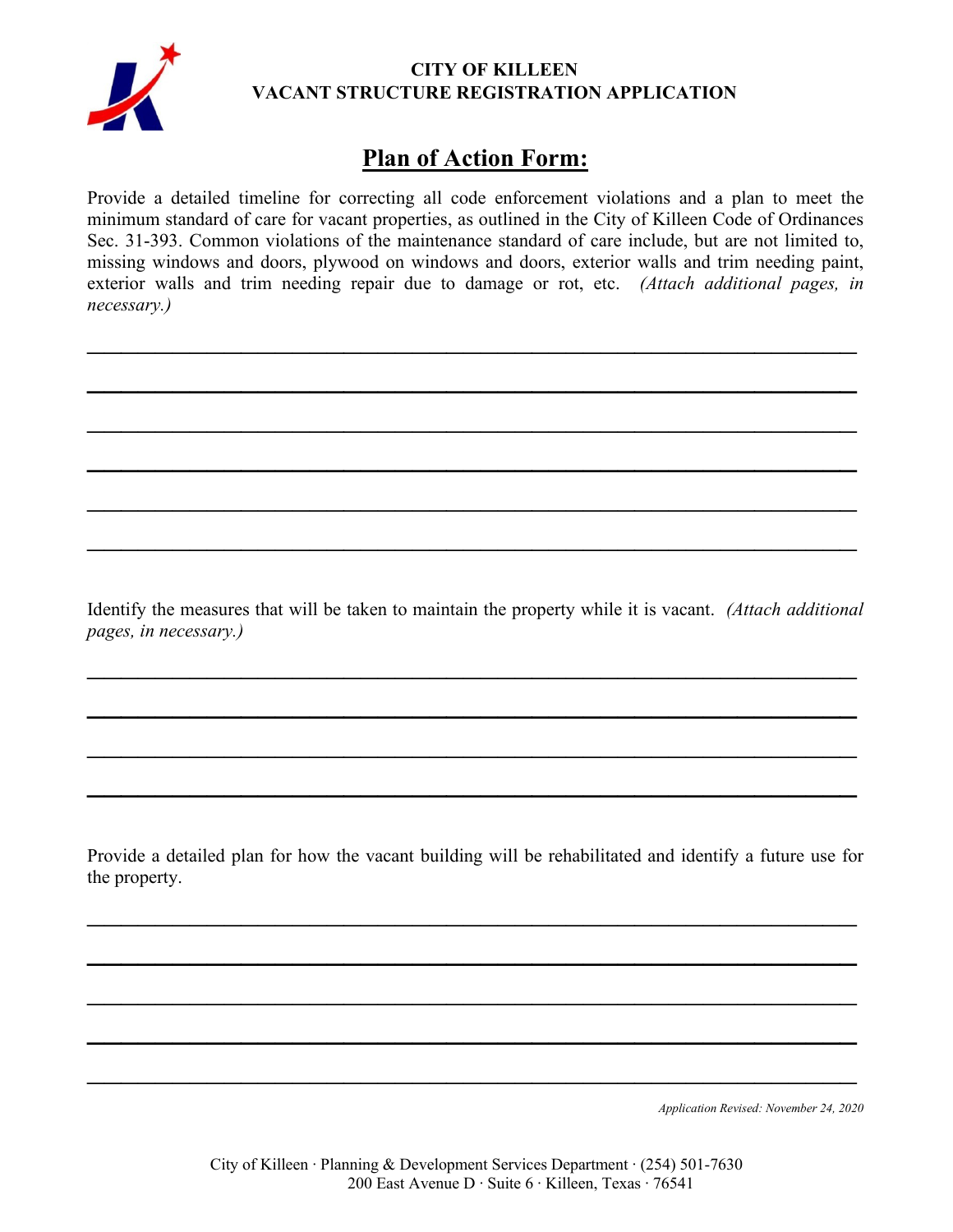

## **CITY OF KILLEEN VACANT STRUCTURE REGISTRATION APPLICATION**

# **Plan of Action Form:**

Provide a detailed timeline for correcting all code enforcement violations and a plan to meet the minimum standard of care for vacant properties, as outlined in the City of Killeen Code of Ordinances Sec. 31-393. Common violations of the maintenance standard of care include, but are not limited to, missing windows and doors, plywood on windows and doors, exterior walls and trim needing paint, exterior walls and trim needing repair due to damage or rot, etc. *(Attach additional pages, in necessary.)*

 $\mathcal{L}_\text{max} = \frac{1}{2} \sum_{i=1}^n \mathcal{L}_\text{max}(\mathbf{z}_i - \mathbf{z}_i)$ 

**\_\_\_\_\_\_\_\_\_\_\_\_\_\_\_\_\_\_\_\_\_\_\_\_\_\_\_\_\_\_\_\_\_\_\_\_\_\_\_\_\_\_\_\_\_**

 $\mathcal{L}_\text{max} = \frac{1}{2} \sum_{i=1}^n \mathcal{L}_\text{max}(\mathbf{z}_i - \mathbf{z}_i)$ 

**\_\_\_\_\_\_\_\_\_\_\_\_\_\_\_\_\_\_\_\_\_\_\_\_\_\_\_\_\_\_\_\_\_\_\_\_\_\_\_\_\_\_\_\_\_**

 $\mathcal{L}_\text{max} = \frac{1}{2} \sum_{i=1}^n \mathcal{L}_\text{max}(\mathbf{z}_i - \mathbf{z}_i)$ 

 $\mathcal{L}_\text{max} = \frac{1}{2} \sum_{i=1}^n \mathcal{L}_\text{max}(\mathbf{z}_i - \mathbf{z}_i)$ 

Identify the measures that will be taken to maintain the property while it is vacant. *(Attach additional pages, in necessary.)*

 $\mathcal{L}_\text{max} = \frac{1}{2} \sum_{i=1}^n \mathcal{L}_\text{max}(\mathbf{z}_i - \mathbf{z}_i)$ 

**\_\_\_\_\_\_\_\_\_\_\_\_\_\_\_\_\_\_\_\_\_\_\_\_\_\_\_\_\_\_\_\_\_\_\_\_\_\_\_\_\_\_\_\_\_**

 $\mathcal{L}_\text{max} = \frac{1}{2} \sum_{i=1}^n \mathcal{L}_\text{max}(\mathbf{z}_i - \mathbf{z}_i)$ 

**\_\_\_\_\_\_\_\_\_\_\_\_\_\_\_\_\_\_\_\_\_\_\_\_\_\_\_\_\_\_\_\_\_\_\_\_\_\_\_\_\_\_\_\_\_**

Provide a detailed plan for how the vacant building will be rehabilitated and identify a future use for the property.

 $\mathcal{L}_\text{max} = \frac{1}{2} \sum_{i=1}^n \mathcal{L}_\text{max}(\mathbf{z}_i - \mathbf{z}_i)$ 

 $\mathcal{L}=\{1,2,3,4\}$  ,  $\mathcal{L}=\{1,3,4\}$  ,  $\mathcal{L}=\{1,3,4\}$  ,  $\mathcal{L}=\{1,2,3,4\}$  ,  $\mathcal{L}=\{1,3,4\}$  ,  $\mathcal{L}=\{1,3,4\}$  ,  $\mathcal{L}=\{1,3,4\}$  ,  $\mathcal{L}=\{1,3,4\}$  ,  $\mathcal{L}=\{1,3,4\}$  ,  $\mathcal{L}=\{1,3,4\}$  ,  $\mathcal{L}=\{1,3,4\}$ 

 $\mathcal{L}_\text{max} = \frac{1}{2} \sum_{i=1}^n \mathcal{L}_\text{max}(\mathbf{z}_i - \mathbf{z}_i)$ 

**\_\_\_\_\_\_\_\_\_\_\_\_\_\_\_\_\_\_\_\_\_\_\_\_\_\_\_\_\_\_\_\_\_\_\_\_\_\_\_\_\_\_\_\_\_**

 $\mathcal{L}_\text{max} = \frac{1}{2} \sum_{i=1}^n \mathcal{L}_\text{max}(\mathbf{z}_i - \mathbf{z}_i)$ 

*Application Revised: November 24, 2020*